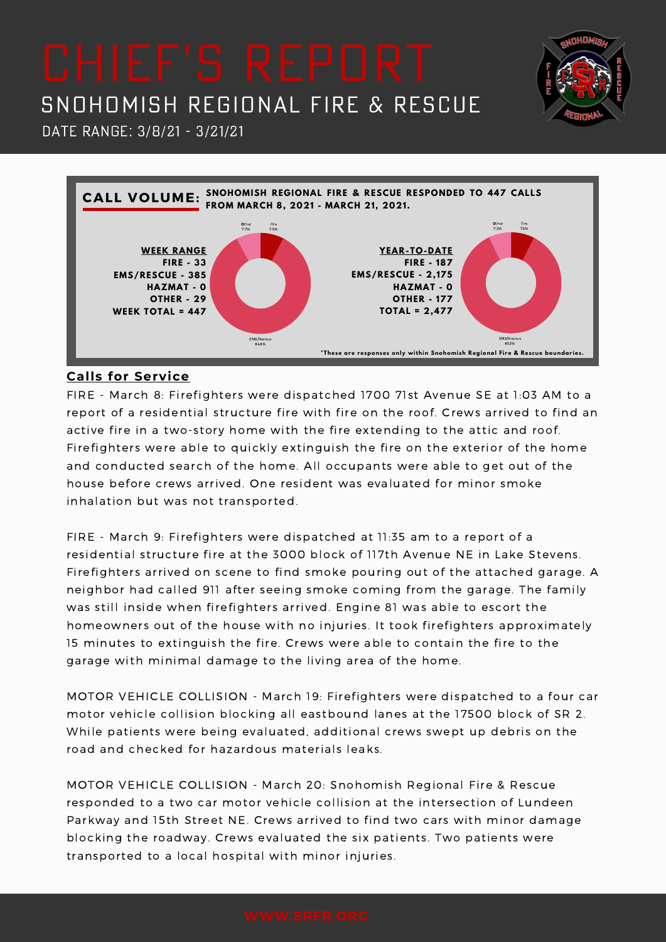

**NHOM** 

## Date Range: 3/8/21 - 3/21/21



### **Calls for Service**

FIRE - March 8: Firefighters were dispatched 1700 71st Avenue SE at 1:03 AM to a report of a residential structure fire with fire on the roof. Crews arrived to find an active fire in a two-story home with the fire extending to the attic and roof. Firefighters were able to quickly extinguish the fire on the exterior of the home and conducted search of the home. All occupants were able to get out of the house before crews arrived. One resident was evaluated for minor smoke inhalation but was not transported.

FIRE - March 9: Firefighters were dispatched at 11:35 am to a report of a residential structure fire at the 3000 block of 117th Avenue NE in Lake Stevens. Firefighters arrived on scene to find smoke pouring out of the attached garage. A neighbor had called 911 after seeing smoke coming from the garage. The family was still inside when firefighters arrived. Engine 81 was able to escort the homeowners out of the house with no injuries. It took firefighters approximately 15 minutes to extinguish the fire. Crews were able to contain the fire to the garage with minimal damage to the living area of the home.

MOTOR VEHICLE COLLISION - March 19: Firefighters were dispatched to a four car motor vehicle collision blocking all eastbound lanes at the 17500 block of SR 2. While patients were being evaluated, additional crews swept up debris on the road and checked for hazardous materials leaks.

MOTOR VEHICLE COLLISION - March 20: Snohomish Regional Fire & Rescue responded to a two car motor vehicle collision at the intersection of Lundeen Parkway and 15th Street NE. Crews arrived to find two cars with minor damage blocking the roadway. Crews evaluated the six patients. Two patients were transported to a local hospital with minor injuries.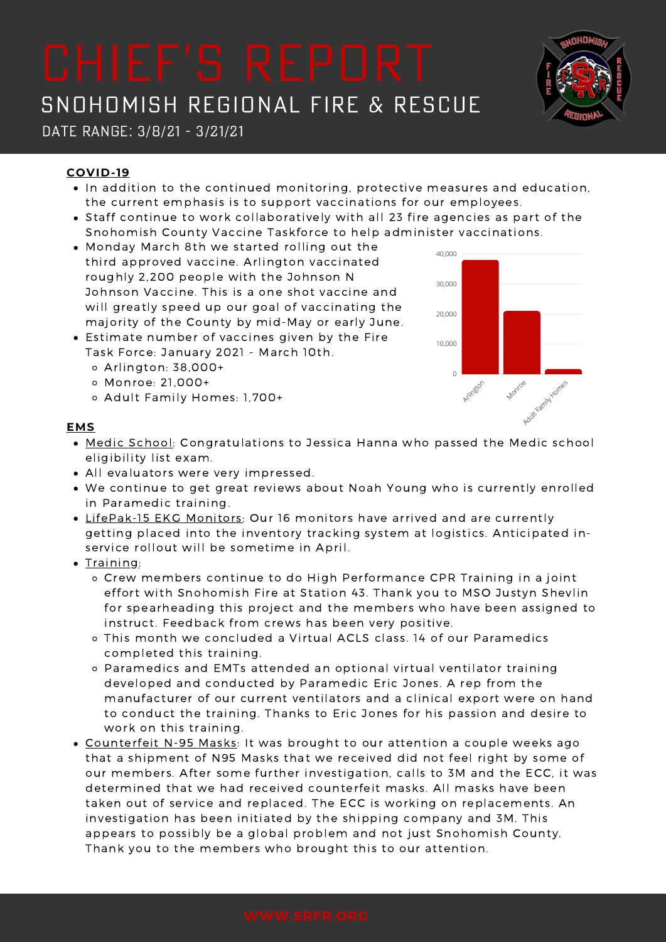

Date Range: 3/8/21 - 3/21/21

### **COVID-19**

- In addition to the continued monitoring, protective measures and education, the current emphasis is to support vaccinations for our employees.
- Staff continue to work collaboratively with all 23 fire agencies as part of the Snohomish County Vaccine Taskforce to help administer vaccinations.
- Monday March 8th we started rolling out the third approved vaccine. Arlington vaccinated roughly 2,200 people with the Johnson N Johnson Vaccine. This is a one shot vaccine and will greatly speed up our goal of vaccinating the majority of the County by mid-May or early June.
- Estimate number of vaccines given by the Fire Task Force: January 2021 - March 10th.
	- Arlington: 38,000+
	- Monroe: 21,000+
	- o Adult Family Homes: 1,700+



#### **EMS**

- Medic School: Congratulations to Jessica Hanna who passed the Medic school eligibility list exam.
- All evaluators were very impressed.
- We continue to get great reviews about Noah Young who is currently enrolled in Paramedic training.
- LifePak-15 EKG Monitors: Our 16 monitors have arrived and are currently getting placed into the inventory tracking system at logistics. Anticipated inservice rollout will be sometime in April.
- $\bullet$  Training:
	- Crew members continue to do High Performance CPR Training in a joint effort with Snohomish Fire at Station 43. Thank you to MSO Justyn Shevlin for spearheading this project and the members who have been assigned to instruct. Feedback from crews has been very positive.
	- This month we concluded a Virtual ACLS class. 14 of our Paramedics completed this training.
	- Paramedics and EMTs attended an optional virtual ventilator training developed and conducted by Paramedic Eric Jones. A rep from the manufacturer of our current ventilators and a clinical export were on hand to conduct the training. Thanks to Eric Jones for his passion and desire to work on this training.
- Counterfeit N-95 Masks: It was brought to our attention a couple weeks ago that a shipment of N95 Masks that we received did not feel right by some of our members. After some further investigation, calls to 3M and the ECC, it was determined that we had received counterfeit masks. All masks have been taken out of service and replaced. The ECC is working on replacements. An investigation has been initiated by the shipping company and 3M. This appears to possibly be a global problem and not just Snohomish County. Thank you to the members who brought this to our attention.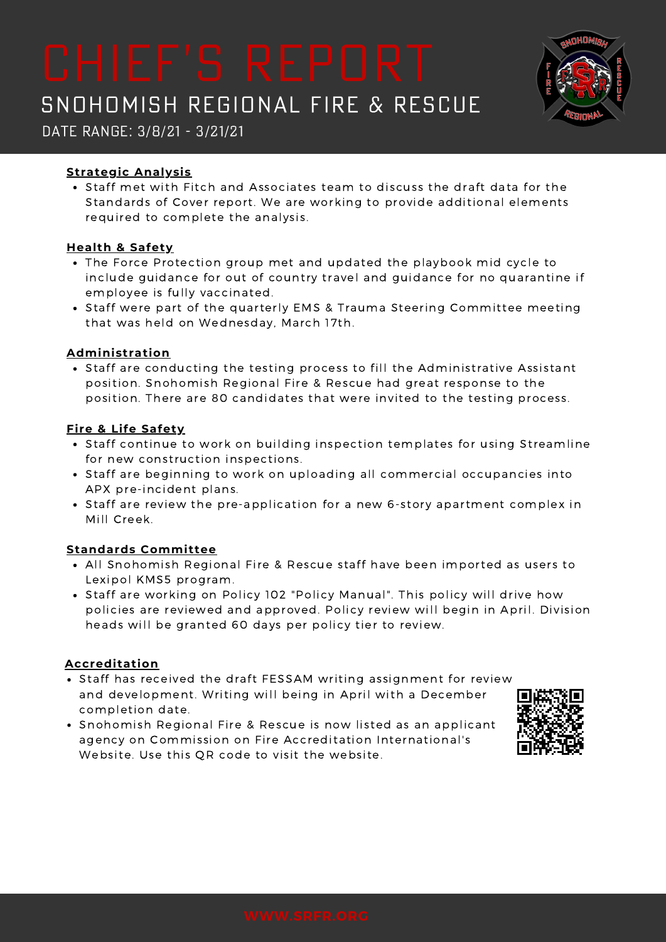Date Range: 3/8/21 - 3/21/21

### **Strategic Analysis**

• Staff met with Fitch and Associates team to discuss the draft data for the Standards of Cover report. We are working to provide additional elements required to complete the analysis.

### **Health & Safety**

- The Force Protection group met and updated the playbook mid cycle to include guidance for out of country travel and guidance for no quarantine if employee is fully vaccinated.
- Staff were part of the quarterly EMS & Trauma Steering Committee meeting that was held on Wednesday, March 17th.

### **Administration**

• Staff are conducting the testing process to fill the Administrative Assistant position. Snohomish Regional Fire & Rescue had great response to the position. There are 80 candidates that were invited to the testing process.

### **Fire & Life Safety**

- Staff continue to work on building inspection templates for using Streamline for new construction inspections.
- Staff are beginning to work on uploading all commercial occupancies into APX pre-incident plans.
- Staff are review the pre-application for a new 6-story apartment complex in Mill Creek.

### **Standards Committee**

- All Snohomish Regional Fire & Rescue staff have been imported as users to Lexipol KMS5 program.
- Staff are working on Policy 102 "Policy Manual". This policy will drive how policies are reviewed and approved. Policy review will begin in April. Division heads will be granted 60 days per policy tier to review.

### **Accreditation**

- Staff has received the draft FESSAM writing assignment for review and development. Writing will being in April with a December completion date.
- Snohomish Regional Fire & Rescue is now listed as an applicant agency on Commission on Fire Accreditation International's Website. Use this QR code to visit the website.

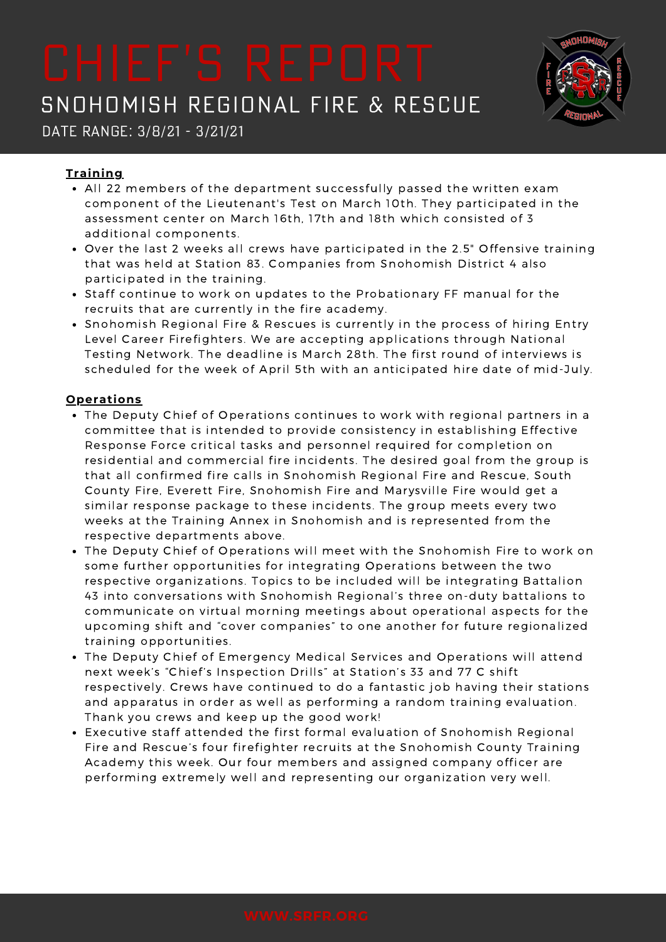

Date Range: 3/8/21 - 3/21/21

### **Training**

- All 22 members of the department successfully passed the written exam component of the Lieutenant's Test on March 10th. They participated in the assessment center on March 16th, 17th and 18th which consisted of 3 additional components.
- Over the last 2 weeks all crews have participated in the 2.5" Offensive training that was held at Station 83. Companies from Snohomish District 4 also participated in the training.
- Staff continue to work on updates to the Probationary FF manual for the recruits that are currently in the fire academy.
- Snohomish Regional Fire & Rescues is currently in the process of hiring Entry Level Career Firefighters. We are accepting applications through National Testing Network. The deadline is March 28th. The first round of interviews is scheduled for the week of April 5th with an anticipated hire date of mid-July.

### **Operations**

- The Deputy Chief of Operations continues to work with regional partners in a committee that is intended to provide consistency in establishing Effective Response Force critical tasks and personnel required for completion on residential and commercial fire incidents. The desired goal from the group is that all confirmed fire calls in Snohomish Regional Fire and Rescue, South County Fire, Everett Fire, Snohomish Fire and Marysville Fire would get a similar response package to these incidents. The group meets every two weeks at the Training Annex in Snohomish and is represented from the respective departments above.
- The Deputy Chief of Operations will meet with the Snohomish Fire to work on some further opportunities for integrating Operations between the two respective organizations. Topics to be included will be integrating Battalion 43 into conversations with Snohomish Regional's three on-duty battalions to communicate on virtual morning meetings about operational aspects for the upcoming shift and "cover companies" to one another for future regionalized training opportunities.
- The Deputy Chief of Emergency Medical Services and Operations will attend next week's "Chief's Inspection Drills" at Station's 33 and 77 C shift respectively. Crews have continued to do a fantastic job having their stations and apparatus in order as well as performing a random training evaluation. Thank you crews and keep up the good work!
- Executive staff attended the first formal evaluation of Snohomish Regional Fire and Rescue's four firefighter recruits at the Snohomish County Training Academy this week. Our four members and assigned company officer are performing extremely well and representing our organization very well.